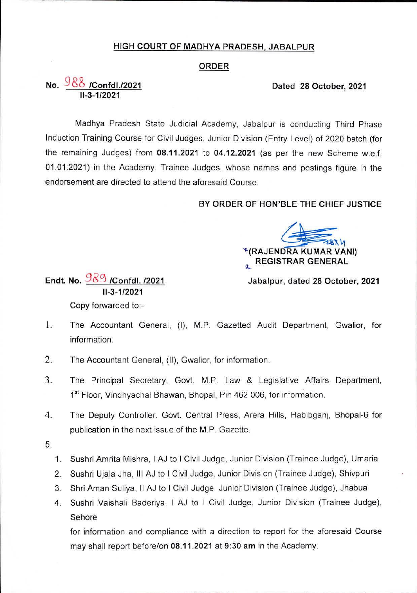# HIGH COURT OF MADHYA PRADESH. JABALPUR

### **ORDER**

# No. **/Confdl./2021 Dated 28 October, 2021** 11-3-1/2021

Madhya Pradesh State Judicial Academy, Jabalpur is conducting Third Phase Induction Training Course for Civil Judges, Junior Division (Entry Level) of 2020 batch (for the remaining Judges) from **08.11.2021** to **04.12.2021** (as per the new Scheme w.e.f. 01.01.2021) in the Academy. Trainee Judges, whose names and postings figure in the endorsement are directed to attend the aforesaid Course.

# **BY ORDER OF HON'BLE THE CHIEF JUSTICE**

**^(RAJENDRA KUMAR VANI) REGISTRAR GENERAL** 

**Endt. No.** 983 **/Confdl. /2021 Jabalpur, dated <sup>28</sup> October, <sup>2021</sup>** 11-3-1/2021 Copy forwarded to:

- 1. The Accountant General, (I), M.P. Gazetted Audit Department, Gwalior, for information.
- 2. The Accountant General, (II), Gwalior, for information.
- 3. The Principal Secretary, Govt. M.P Law & Legislative Affairs Department, 1<sup>st</sup> Floor, Vindhyachal Bhawan, Bhopal, Pin 462 006, for information.
- 4. The Deputy Controller, Govt. Central Press, Arera Hills, Habibganj, Bhopal-6 for publication in the next issue of the M.P. Gazette.
- 5.
- Sushri Amrita Mishra, <sup>I</sup> AJ to <sup>I</sup> Civil Judge, Junior Division (Trainee Judge), Umaria **1.**
- Sushri Ujala Jha, III AJ to <sup>I</sup> Civil Judge, Junior Division (Trainee Judge), Shivpuri 2.
- Shri Aman Suliya, II AJ to <sup>I</sup> Civil Judge, Junior Division (Trainee Judge), Jhabua 3.
- Sushri Vaishali Baderiya, <sup>I</sup> AJ to <sup>I</sup> Civil Judge, Junior Division (Trainee Judge), Sehore 4.

for information and compliance with a direction to report for the aforesaid Course may shall report before/on **08.11.2021** at **9:30 am** in the Academy.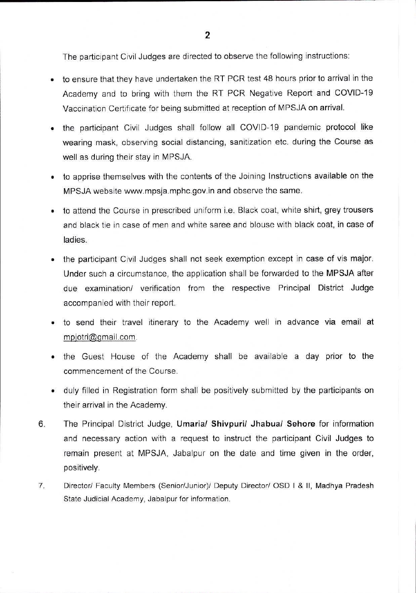The participant Civil Judges are directed to observe the following instructions:

- to ensure that they have undertaken the RT PCR test 48 hours prior to arrival in the Academy and to bring with them the RT PCR Negative Report and COVID-19 Vaccination Certificate for being submitted at reception of MPSJA on arrival.
- the participant Civil Judges shall follow all COVID-19 pandemic protocol like wearing mask, observing social distancing, sanitization etc. during the Course as well as during their stay in MPSJA.
- to apprise themselves with the contents of the Joining Instructions available on the MPSJA website [www.mpsja.mphc.gov.in](http://www.mpsja.mphc.gov.in) and observe the same.
- to attend the Course in prescribed uniform i.e. Black coat, white shirt, grey trousers and black tie in case of men and white saree and blouse with black coat, in case of ladies.
- the participant Civil Judges shall not seek exemption except in case of vis major. Under such a circumstance, the application shall be forwarded to the MPSJA after due examination/ verification from the respective Principal District Judge accompanied with their report.
- to send their travel itinerary to the Academy well in advance via email at [mpiotri@qmail.com](mailto:mpiotri@qmail.com).
- the Guest House of the Academy shall be available a day prior to the commencement of the Course.
- duly filled in Registration form shall be positively submitted by the participants on their arrival in the Academy.
- The Principal District Judge, **Umaria/ Shivpuri/ Jhabua/ Sehore** for information and necessary action with a request to instruct the participant Civil Judges to remain present at MPSJA, Jabalpur on the date and time given in the order, positively. 6.
- Director/ Faculty Members (Senior/Junior)/ Deputy Director/ OSD <sup>I</sup> & II, Madhya Pradesh State Judicial Academy, Jabalpur for information. 7.